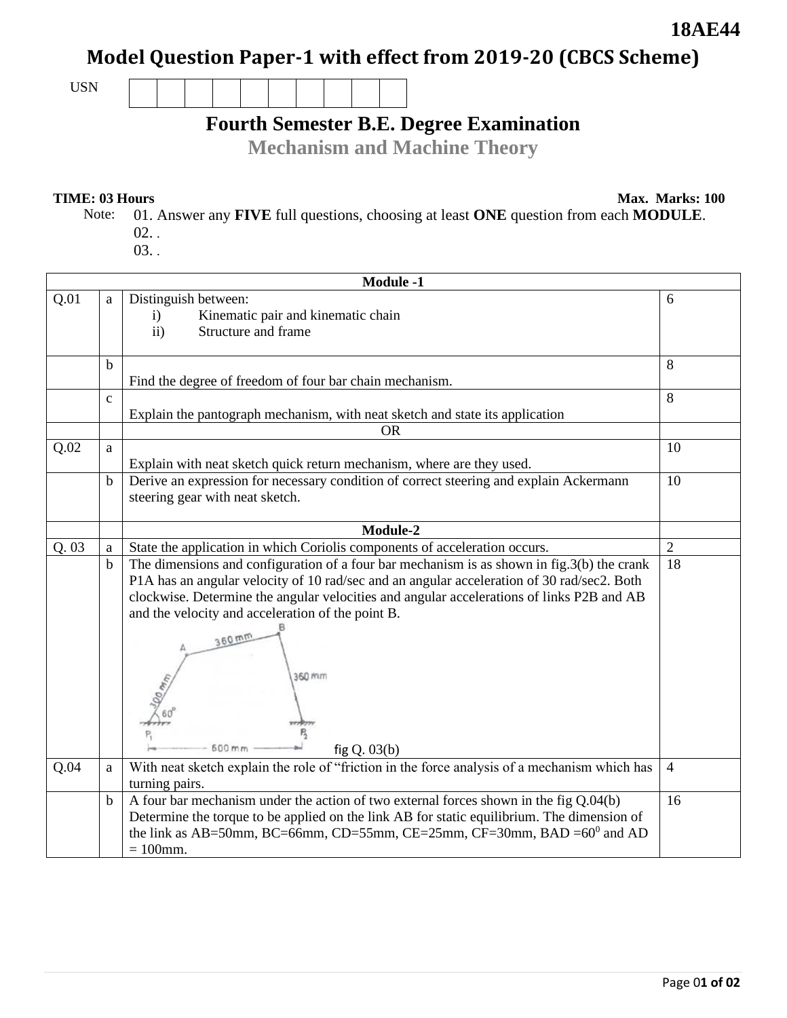### **18AE44**

## **Model Question Paper-1 with effect from 2019-20 (CBCS Scheme)**

USN

# **Fourth Semester B.E. Degree Examination**

**Mechanism and Machine Theory** 

**TIME: 03 Hours** Max. Marks: 100

Note: 01. Answer any **FIVE** full questions, choosing at least **ONE** question from each **MODULE**. 02. . 03. .

|       | <b>Module -1</b> |                                                                                                                           |                |  |  |
|-------|------------------|---------------------------------------------------------------------------------------------------------------------------|----------------|--|--|
| Q.01  | a                | Distinguish between:                                                                                                      | 6              |  |  |
|       |                  | Kinematic pair and kinematic chain<br>i)<br>Structure and frame<br>$\overline{ii}$ )                                      |                |  |  |
|       |                  |                                                                                                                           |                |  |  |
|       | $\mathbf b$      |                                                                                                                           | 8              |  |  |
|       |                  | Find the degree of freedom of four bar chain mechanism.                                                                   |                |  |  |
|       | $\mathbf c$      |                                                                                                                           | 8              |  |  |
|       |                  | Explain the pantograph mechanism, with neat sketch and state its application                                              |                |  |  |
|       |                  | <b>OR</b>                                                                                                                 |                |  |  |
| Q.02  | a                |                                                                                                                           | 10             |  |  |
|       |                  | Explain with neat sketch quick return mechanism, where are they used.                                                     |                |  |  |
|       | $\mathbf b$      | Derive an expression for necessary condition of correct steering and explain Ackermann<br>steering gear with neat sketch. | 10             |  |  |
|       |                  | Module-2                                                                                                                  |                |  |  |
| Q. 03 | a                | State the application in which Coriolis components of acceleration occurs.                                                | $\overline{2}$ |  |  |
|       | $\mathbf b$      | The dimensions and configuration of a four bar mechanism is as shown in $fig.3(b)$ the crank                              | 18             |  |  |
|       |                  | P1A has an angular velocity of 10 rad/sec and an angular acceleration of 30 rad/sec2. Both                                |                |  |  |
|       |                  | clockwise. Determine the angular velocities and angular accelerations of links P2B and AB                                 |                |  |  |
|       |                  | and the velocity and acceleration of the point B.                                                                         |                |  |  |
|       |                  |                                                                                                                           |                |  |  |
|       |                  | $360$ mm<br>360 mm<br>600 mm<br>fig $Q.03(b)$                                                                             |                |  |  |
| Q.04  | $\mathbf{a}$     | With neat sketch explain the role of "friction in the force analysis of a mechanism which has<br>turning pairs.           | $\overline{4}$ |  |  |
|       | $\mathbf b$      | A four bar mechanism under the action of two external forces shown in the fig $Q.04(b)$                                   | 16             |  |  |
|       |                  | Determine the torque to be applied on the link AB for static equilibrium. The dimension of                                |                |  |  |
|       |                  | the link as AB=50mm, BC=66mm, CD=55mm, CE=25mm, CF=30mm, BAD = $60^{\circ}$ and AD                                        |                |  |  |
|       |                  | $= 100$ mm.                                                                                                               |                |  |  |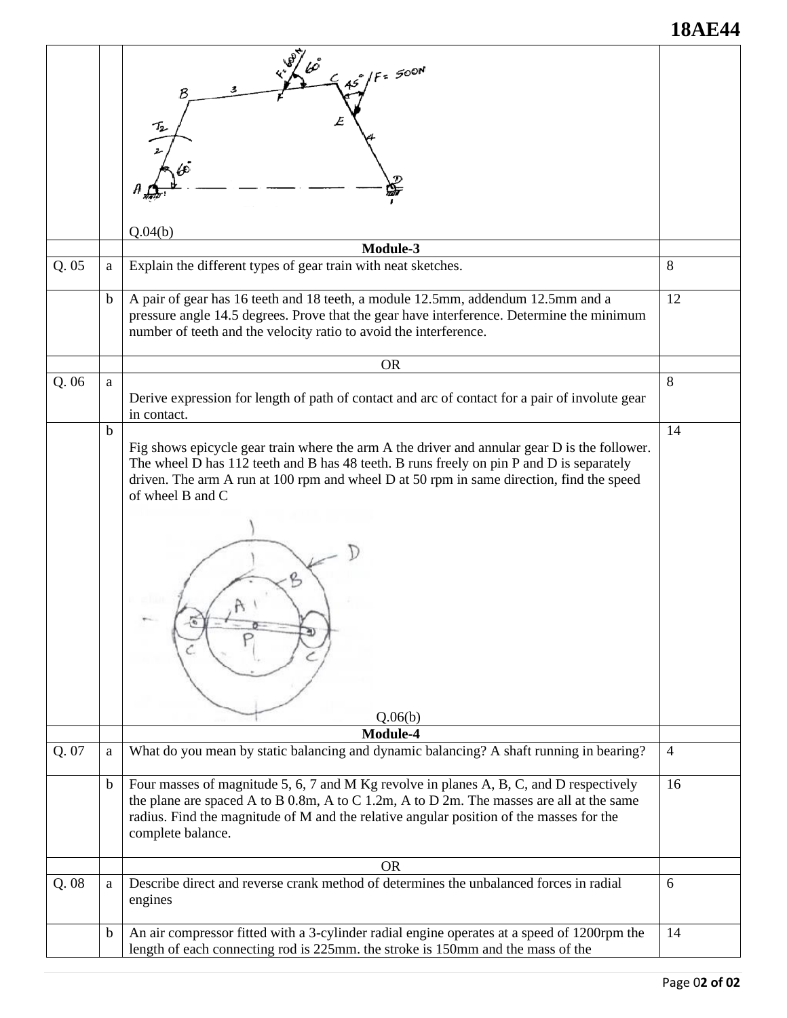### **18AE44**

| Q.05  | a           | $15^{°}/F = 500N$<br>B<br>Q.04(b)<br>Module-3<br>Explain the different types of gear train with neat sketches.                                                                                                                                                                                                      | 8              |
|-------|-------------|---------------------------------------------------------------------------------------------------------------------------------------------------------------------------------------------------------------------------------------------------------------------------------------------------------------------|----------------|
|       | $\mathbf b$ | A pair of gear has 16 teeth and 18 teeth, a module 12.5mm, addendum 12.5mm and a<br>pressure angle 14.5 degrees. Prove that the gear have interference. Determine the minimum<br>number of teeth and the velocity ratio to avoid the interference.                                                                  | 12             |
|       |             | <b>OR</b>                                                                                                                                                                                                                                                                                                           |                |
| Q.06  | a           | Derive expression for length of path of contact and arc of contact for a pair of involute gear<br>in contact.                                                                                                                                                                                                       | 8              |
|       | $\mathbf b$ | Fig shows epicycle gear train where the arm A the driver and annular gear D is the follower.<br>The wheel D has 112 teeth and B has 48 teeth. B runs freely on pin P and D is separately<br>driven. The arm A run at 100 rpm and wheel D at 50 rpm in same direction, find the speed<br>of wheel B and C<br>Q.06(b) | 14             |
|       |             | Module-4                                                                                                                                                                                                                                                                                                            |                |
| Q. 07 | a           | What do you mean by static balancing and dynamic balancing? A shaft running in bearing?                                                                                                                                                                                                                             | $\overline{4}$ |
|       | $\mathbf b$ | Four masses of magnitude 5, 6, 7 and M Kg revolve in planes A, B, C, and D respectively<br>the plane are spaced A to B 0.8m, A to C 1.2m, A to D 2m. The masses are all at the same<br>radius. Find the magnitude of M and the relative angular position of the masses for the<br>complete balance.                 | 16             |
|       |             | <b>OR</b>                                                                                                                                                                                                                                                                                                           |                |
| Q.08  | a           | Describe direct and reverse crank method of determines the unbalanced forces in radial<br>engines                                                                                                                                                                                                                   | 6              |
|       | $\mathbf b$ | An air compressor fitted with a 3-cylinder radial engine operates at a speed of 1200rpm the<br>length of each connecting rod is 225mm. the stroke is 150mm and the mass of the                                                                                                                                      | 14             |